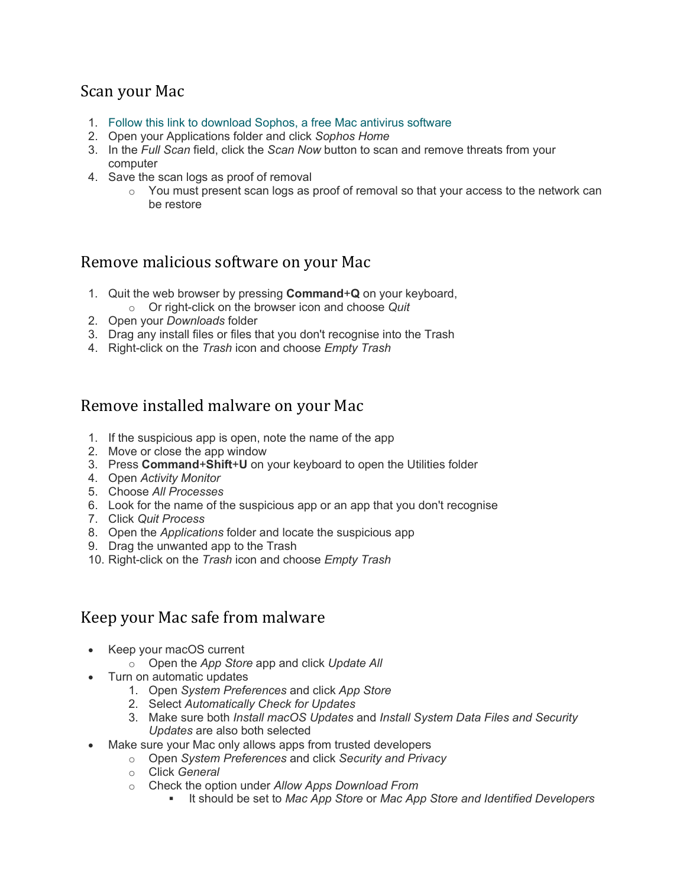## Scan your Mac

- 1. [Follow this link to download Sophos, a free Mac antivirus](https://home.sophos.com/) software
- 2. Open your Applications folder and click *Sophos Home*
- 3. In the *Full Scan* field, click the *Scan Now* button to scan and remove threats from your computer
- 4. Save the scan logs as proof of removal
	- o You must present scan logs as proof of removal so that your access to the network can be restore

## Remove malicious software on your Mac

- 1. Quit the web browser by pressing **Command**+**Q** on your keyboard,
- o Or right-click on the browser icon and choose *Quit*
- 2. Open your *Downloads* folder
- 3. Drag any install files or files that you don't recognise into the Trash
- 4. Right-click on the *Trash* icon and choose *Empty Trash*

## Remove installed malware on your Mac

- 1. If the suspicious app is open, note the name of the app
- 2. Move or close the app window
- 3. Press **Command**+**Shift**+**U** on your keyboard to open the Utilities folder
- 4. Open *Activity Monitor*
- 5. Choose *All Processes*
- 6. Look for the name of the suspicious app or an app that you don't recognise
- 7. Click *Quit Process*
- 8. Open the *Applications* folder and locate the suspicious app
- 9. Drag the unwanted app to the Trash
- 10. Right-click on the *Trash* icon and choose *Empty Trash*

## Keep your Mac safe from malware

- Keep your macOS current
	- o Open the *App Store* app and click *Update All*
- Turn on automatic updates
	- 1. Open *System Preferences* and click *App Store*
	- 2. Select *Automatically Check for Updates*
	- 3. Make sure both *Install macOS Updates* and *Install System Data Files and Security Updates* are also both selected
- Make sure your Mac only allows apps from trusted developers
	- o Open *System Preferences* and click *Security and Privacy*
	- o Click *General*
	- o Check the option under *Allow Apps Download From*
		- It should be set to *Mac App Store* or *Mac App Store and Identified Developers*